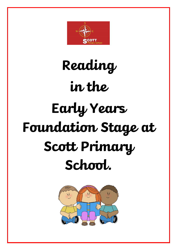

# **Reading in the Early Years Foundation Stage at Scott Primary School.**

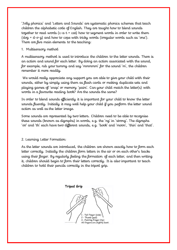'Jolly phonics' and 'Letters and Sounds' are systematic phonics schemes that teach children the alphabetic code of English. They are taught how to blend sounds together to read words ( $c-a-t = cat$ ) how to segment words in order to write them  $(d_{0} - d_{0}-d_{0})$  and how to cope with tricky words (irregular words such as 'one'). There are five main elements to the teaching:

### 1. Multisensory method

A multisensory method is used to introduce the children to the letter sounds. There is an action and sound for each letter. By doing an action associated with the sound, for example, rub your tummy and say 'mmmmm' for the sound 'm', the children remember it more readily.

We would really appreciate any support you are able to give your child with their sounds, either by simply using them as flash cards or making duplicate sets and playing games of 'snap' or memory 'pairs'. Can your child match the letter(s) with words in a favourite reading book? Are the sounds the same?

In order to blend sounds efficiently it is important for your child to know the letter sounds fluently. Initially it may well help your child if you perform the letter sound action as well as the letter image.

Some sounds are represented by two letters. Children need to be able to recognise these sounds (known as digraphs) in words, e.g. the 'ng' in 'strong'. The digraphs 'oo' and 'th' each have two different sounds, e.g. 'book' and 'moon', 'thin' and 'that'.

2. Learning Letter Formation:

As the letter sounds are introduced, the children are shown exactly how to form each letter correctly. Initially the children form letters in the air or on each other's backs using their finger. By regularly feeling the formation of each letter, and then writing it, children should begin to form their letters correctly. It is also important to teach children to hold their pencils correctly in the tripod grip.

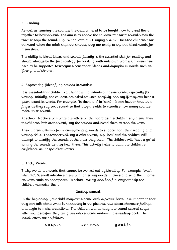# 3. Blending:

As well as learning the sounds, the children need to be taught how to blend them together to hear a word. The aim is to enable the children to hear the word when the teacher says the sound. E.g. 'What word am I saying c-a-n?' Once the children hear the word when the adult says the sounds, they are ready to try and blend words for themselves.

The ability to blend letters and sounds fluently is the essential skill for reading and should always be the first strategy for working with unknown words. Children then need to be supported to recognise consonant blends and digraphs in words such as ' $\mu$ -a-g' and 'sh- $\sigma$ -p'.

# 4. Segmenting (identifying sounds in words):

It is essential that children can hear the individual sounds in words, especially for writing. Initially, the children are asked to listen carefully and say if they can hear a given sound in words. For example, 'Is there a 's' in 'sun?'. It can help to hold up a finger as they say each sound so that they are able to visualise how many sounds make up one word.

At school, teachers will write the letters on the board as the children say them. Then the children look at the word, say the sounds and blend them to read the word.

The children will also focus on segmenting words to support both their reading and writing skills. The teacher will say a whole word, e.g. 'hen' and the children will attempt to identify the sounds in the order they occur. The children will 'have a go' at writing the sounds as they hear them. This activity helps to build the children's confidence as independent writers.

# 5. Tricky Words:

Tricky words are words that cannot be worked out by blending. For example, 'was', 'she', 'to'. We will introduce these with other key words in class and send them home on word cards as appropriate. In school, we try and find fun ways to help the children memorise them.

# **Getting started:**

In the beginning, your child may come home with a picture book. It is important that they can talk about what is happening in the pictures, talk about character feelings and begin to make predictions. The children will be taught to sound several single letter sounds before they are given whole words and a simple reading book. The initial letters are as follows:

 $S$  a t p in  $C$  e h r m d g o u l  $\downarrow b$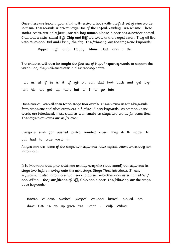Once these are known, your child will receive a book with the first set of nine words in them. These words relate to Stage One of the Oxford Reading Tree scheme. These stories centre around a four-year-old boy named Kipper. Kipper has a brother named Chip and a sister called Biff. Chip and Biff are twins and are aged seven. They all live with Mum and Dad and Floppy the dog. The following are the stage one keywords:

Kipper Biff Chip Floppy Mum Dad and a the

The children will then be taught the first set of High Frequency words to support the vocabulary they will encounter in their reading books:

 an as at if in is it of off on can dad had back and get big him his not got up mum but to I no go into

Once known, we will then teach stage two words. These words use the keywords from stage one and also introduces a further 18 new keywords. As so many new words are introduced, most children will remain on stage two words for some time. The stage two words are as follows:

Everyone said got pushed pulled wanted cross They it It made He put had to was went in

As you can see, some of the stage two keywords have capital letters when they are introduced.

It is important that your child can readily recognise (and sound) the keywords in stage two before moving onto the next stage. Stage Three introduces 21 new keywords. It also introduces two new characters, a brother and sister named Wilf and Wilma – they are friends of Biff, Chip and Kipper. The following are the stage three keywords:

 Barked children climbed jumped couldn't looked played am down Get he on up gave tree what I Wilf Wilma